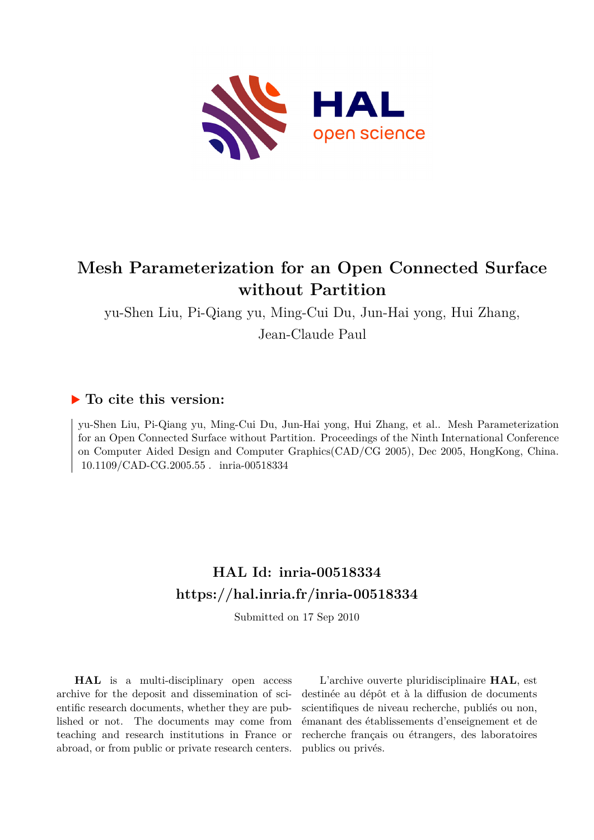

# **Mesh Parameterization for an Open Connected Surface without Partition**

yu-Shen Liu, Pi-Qiang yu, Ming-Cui Du, Jun-Hai yong, Hui Zhang, Jean-Claude Paul

# **To cite this version:**

yu-Shen Liu, Pi-Qiang yu, Ming-Cui Du, Jun-Hai yong, Hui Zhang, et al.. Mesh Parameterization for an Open Connected Surface without Partition. Proceedings of the Ninth International Conference on Computer Aided Design and Computer Graphics(CAD/CG 2005), Dec 2005, HongKong, China. 10.1109/CAD-CG.2005.55 . inria-00518334

# **HAL Id: inria-00518334 <https://hal.inria.fr/inria-00518334>**

Submitted on 17 Sep 2010

**HAL** is a multi-disciplinary open access archive for the deposit and dissemination of scientific research documents, whether they are published or not. The documents may come from teaching and research institutions in France or abroad, or from public or private research centers.

L'archive ouverte pluridisciplinaire **HAL**, est destinée au dépôt et à la diffusion de documents scientifiques de niveau recherche, publiés ou non, émanant des établissements d'enseignement et de recherche français ou étrangers, des laboratoires publics ou privés.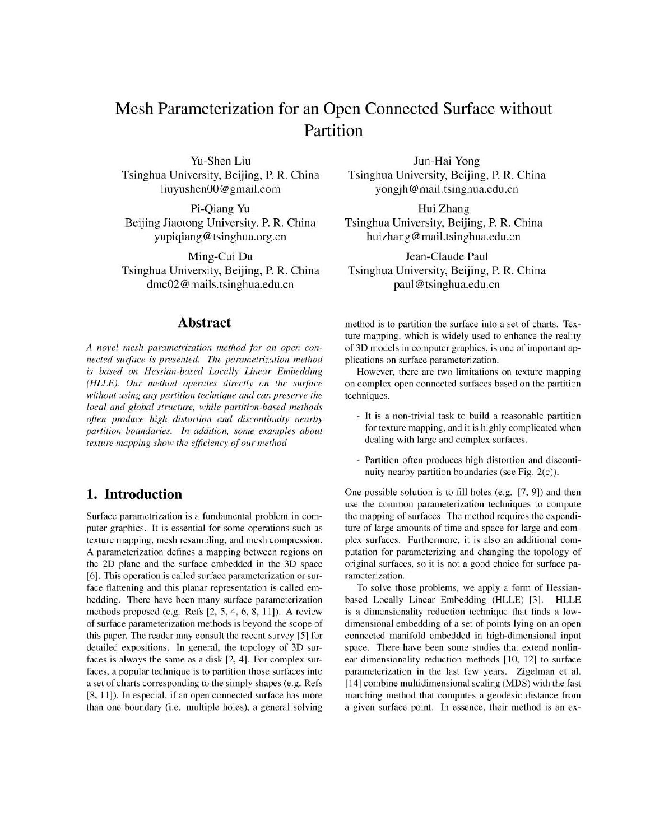# Mesh Parameterization for an Open Connected Surface without Partition

Yu-Shen Liu Tsinghua University, Beijing, P. R. China liuyushen00@gmail.com

Pi-Oiang Yu Beijing Jiaotong University, P. R. China yupiqiang@tsinghua.org.cn

Ming-Cui Du Tsinghua University, Beijing, P. R. China dmc02@mails.tsinghua.edu.cn

#### **Abstract**

A novel mesh parametrization method for an open connected surface is presented. The parametrization method is based on Hessian-based Locally Linear Embedding (HLLE). Our method operates directly on the surface without using any partition technique and can preserve the local and global structure, while partition-based methods often produce high distortion and discontinuity nearby partition boundaries. In addition, some examples about texture mapping show the efficiency of our method

#### 1. Introduction

Surface parametrization is a fundamental problem in computer graphics. It is essential for some operations such as texture mapping, mesh resampling, and mesh compression. A parameterization defines a mapping between regions on the 2D plane and the surface embedded in the 3D space [6]. This operation is called surface parameterization or surface flattening and this planar representation is called embedding. There have been many surface parameterization methods proposed (e.g. Refs [2, 5, 4, 6, 8, 11]). A review of surface parameterization methods is beyond the scope of this paper. The reader may consult the recent survey [5] for detailed expositions. In general, the topology of 3D surfaces is always the same as a disk [2, 4]. For complex surfaces, a popular technique is to partition those surfaces into a set of charts corresponding to the simply shapes (e.g. Refs. [8, 11]). In especial, if an open connected surface has more than one boundary (i.e. multiple holes), a general solving

Jun-Hai Yong Tsinghua University, Beijing, P. R. China yongjh@mail.tsinghua.edu.cn

Hui Zhang Tsinghua University, Beijing, P. R. China huizhang@mail.tsinghua.edu.cn

Jean-Claude Paul Tsinghua University, Beijing, P. R. China paul@tsinghua.edu.cn

method is to partition the surface into a set of charts. Texture mapping, which is widely used to enhance the reality of 3D models in computer graphics, is one of important applications on surface parameterization.

However, there are two limitations on texture mapping on complex open connected surfaces based on the partition techniques.

- It is a non-trivial task to build a reasonable partition for texture mapping, and it is highly complicated when dealing with large and complex surfaces.
- Partition often produces high distortion and discontinuity nearby partition boundaries (see Fig.  $2(c)$ ).

One possible solution is to fill holes (e.g.  $[7, 9]$ ) and then use the common parameterization techniques to compute the mapping of surfaces. The method requires the expenditure of large amounts of time and space for large and complex surfaces. Furthermore, it is also an additional computation for parameterizing and changing the topology of original surfaces, so it is not a good choice for surface parameterization.

To solve those problems, we apply a form of Hessianbased Locally Linear Embedding (HLLE) [3]. HLLE is a dimensionality reduction technique that finds a lowdimensional embedding of a set of points lying on an open connected manifold embedded in high-dimensional input space. There have been some studies that extend nonlinear dimensionality reduction methods [10, 12] to surface parameterization in the last few years. Zigelman et al. [14] combine multidimensional scaling (MDS) with the fast marching method that computes a geodesic distance from a given surface point. In essence, their method is an ex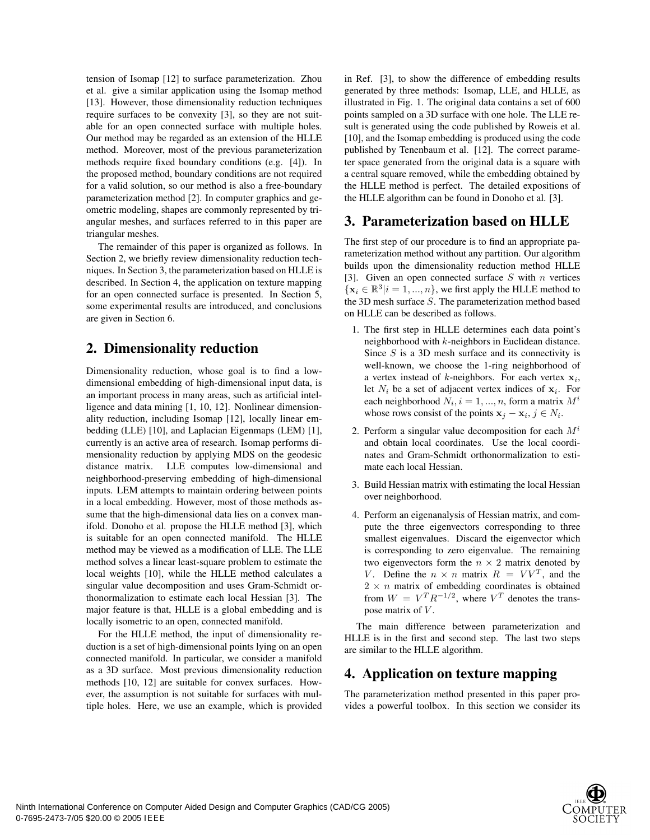tension of Isomap [12] to surface parameterization. Zhou et al. give a similar application using the Isomap method [13]. However, those dimensionality reduction techniques require surfaces to be convexity [3], so they are not suitable for an open connected surface with multiple holes. Our method may be regarded as an extension of the HLLE method. Moreover, most of the previous parameterization methods require fixed boundary conditions (e.g. [4]). In the proposed method, boundary conditions are not required for a valid solution, so our method is also a free-boundary parameterization method [2]. In computer graphics and geometric modeling, shapes are commonly represented by triangular meshes, and surfaces referred to in this paper are triangular meshes.

The remainder of this paper is organized as follows. In Section 2, we briefly review dimensionality reduction techniques. In Section 3, the parameterization based on HLLE is described. In Section 4, the application on texture mapping for an open connected surface is presented. In Section 5, some experimental results are introduced, and conclusions are given in Section 6.

# **2. Dimensionality reduction**

Dimensionality reduction, whose goal is to find a lowdimensional embedding of high-dimensional input data, is an important process in many areas, such as artificial intelligence and data mining [1, 10, 12]. Nonlinear dimensionality reduction, including Isomap [12], locally linear embedding (LLE) [10], and Laplacian Eigenmaps (LEM) [1], currently is an active area of research. Isomap performs dimensionality reduction by applying MDS on the geodesic distance matrix. LLE computes low-dimensional and neighborhood-preserving embedding of high-dimensional inputs. LEM attempts to maintain ordering between points in a local embedding. However, most of those methods assume that the high-dimensional data lies on a convex manifold. Donoho et al. propose the HLLE method [3], which is suitable for an open connected manifold. The HLLE method may be viewed as a modification of LLE. The LLE method solves a linear least-square problem to estimate the local weights [10], while the HLLE method calculates a singular value decomposition and uses Gram-Schmidt orthonormalization to estimate each local Hessian [3]. The major feature is that, HLLE is a global embedding and is locally isometric to an open, connected manifold.

For the HLLE method, the input of dimensionality reduction is a set of high-dimensional points lying on an open connected manifold. In particular, we consider a manifold as a 3D surface. Most previous dimensionality reduction methods [10, 12] are suitable for convex surfaces. However, the assumption is not suitable for surfaces with multiple holes. Here, we use an example, which is provided in Ref. [3], to show the difference of embedding results generated by three methods: Isomap, LLE, and HLLE, as illustrated in Fig. 1. The original data contains a set of 600 points sampled on a 3D surface with one hole. The LLE result is generated using the code published by Roweis et al. [10], and the Isomap embedding is produced using the code published by Tenenbaum et al. [12]. The correct parameter space generated from the original data is a square with a central square removed, while the embedding obtained by the HLLE method is perfect. The detailed expositions of the HLLE algorithm can be found in Donoho et al. [3].

### **3. Parameterization based on HLLE**

The first step of our procedure is to find an appropriate parameterization method without any partition. Our algorithm builds upon the dimensionality reduction method HLLE [3]. Given an open connected surface  $S$  with  $n$  vertices  $\{x_i \in \mathbb{R}^3 | i = 1, ..., n\}$ , we first apply the HLLE method to the 3D mesh surface S. The parameterization method based on HLLE can be described as follows.

- 1. The first step in HLLE determines each data point's neighborhood with k-neighbors in Euclidean distance. Since  $S$  is a 3D mesh surface and its connectivity is well-known, we choose the 1-ring neighborhood of a vertex instead of k-neighbors. For each vertex  $x_i$ , let  $N_i$  be a set of adjacent vertex indices of  $x_i$ . For each neighborhood  $N_i$ ,  $i = 1, ..., n$ , form a matrix  $M^i$ whose rows consist of the points  $\mathbf{x}_i - \mathbf{x}_i, j \in N_i$ .
- 2. Perform a singular value decomposition for each  $M<sup>i</sup>$ and obtain local coordinates. Use the local coordinates and Gram-Schmidt orthonormalization to estimate each local Hessian.
- 3. Build Hessian matrix with estimating the local Hessian over neighborhood.
- 4. Perform an eigenanalysis of Hessian matrix, and compute the three eigenvectors corresponding to three smallest eigenvalues. Discard the eigenvector which is corresponding to zero eigenvalue. The remaining two eigenvectors form the  $n \times 2$  matrix denoted by V. Define the  $n \times n$  matrix  $R = V V^T$ , and the  $2 \times n$  matrix of embedding coordinates is obtained from  $W = V^{T} R^{-1/2}$ , where  $V^{T}$  denotes the transpose matrix of V.

The main difference between parameterization and HLLE is in the first and second step. The last two steps are similar to the HLLE algorithm.

## **4. Application on texture mapping**

The parameterization method presented in this paper provides a powerful toolbox. In this section we consider its

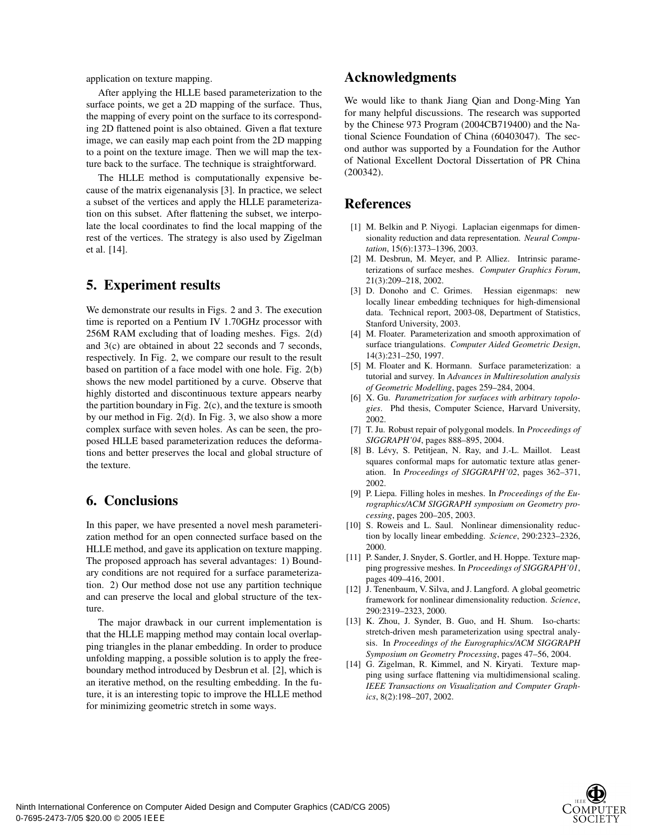application on texture mapping.

After applying the HLLE based parameterization to the surface points, we get a 2D mapping of the surface. Thus, the mapping of every point on the surface to its corresponding 2D flattened point is also obtained. Given a flat texture image, we can easily map each point from the 2D mapping to a point on the texture image. Then we will map the texture back to the surface. The technique is straightforward.

The HLLE method is computationally expensive because of the matrix eigenanalysis [3]. In practice, we select a subset of the vertices and apply the HLLE parameterization on this subset. After flattening the subset, we interpolate the local coordinates to find the local mapping of the rest of the vertices. The strategy is also used by Zigelman et al. [14].

### **5. Experiment results**

We demonstrate our results in Figs. 2 and 3. The execution time is reported on a Pentium IV 1.70GHz processor with 256M RAM excluding that of loading meshes. Figs. 2(d) and 3(c) are obtained in about 22 seconds and 7 seconds, respectively. In Fig. 2, we compare our result to the result based on partition of a face model with one hole. Fig. 2(b) shows the new model partitioned by a curve. Observe that highly distorted and discontinuous texture appears nearby the partition boundary in Fig. 2(c), and the texture is smooth by our method in Fig. 2(d). In Fig. 3, we also show a more complex surface with seven holes. As can be seen, the proposed HLLE based parameterization reduces the deformations and better preserves the local and global structure of the texture.

#### **6. Conclusions**

In this paper, we have presented a novel mesh parameterization method for an open connected surface based on the HLLE method, and gave its application on texture mapping. The proposed approach has several advantages: 1) Boundary conditions are not required for a surface parameterization. 2) Our method dose not use any partition technique and can preserve the local and global structure of the texture.

The major drawback in our current implementation is that the HLLE mapping method may contain local overlapping triangles in the planar embedding. In order to produce unfolding mapping, a possible solution is to apply the freeboundary method introduced by Desbrun et al. [2], which is an iterative method, on the resulting embedding. In the future, it is an interesting topic to improve the HLLE method for minimizing geometric stretch in some ways.

### **Acknowledgments**

We would like to thank Jiang Qian and Dong-Ming Yan for many helpful discussions. The research was supported by the Chinese 973 Program (2004CB719400) and the National Science Foundation of China (60403047). The second author was supported by a Foundation for the Author of National Excellent Doctoral Dissertation of PR China (200342).

### **References**

- [1] M. Belkin and P. Niyogi. Laplacian eigenmaps for dimensionality reduction and data representation. *Neural Computation*, 15(6):1373–1396, 2003.
- [2] M. Desbrun, M. Meyer, and P. Alliez. Intrinsic parameterizations of surface meshes. *Computer Graphics Forum*, 21(3):209–218, 2002.
- [3] D. Donoho and C. Grimes. Hessian eigenmaps: new locally linear embedding techniques for high-dimensional data. Technical report, 2003-08, Department of Statistics, Stanford University, 2003.
- [4] M. Floater. Parameterization and smooth approximation of surface triangulations. *Computer Aided Geometric Design*, 14(3):231–250, 1997.
- [5] M. Floater and K. Hormann. Surface parameterization: a tutorial and survey. In *Advances in Multiresolution analysis of Geometric Modelling*, pages 259–284, 2004.
- [6] X. Gu. *Parametrization for surfaces with arbitrary topologies*. Phd thesis, Computer Science, Harvard University, 2002.
- [7] T. Ju. Robust repair of polygonal models. In *Proceedings of SIGGRAPH'04*, pages 888–895, 2004.
- [8] B. Lévy, S. Petitjean, N. Ray, and J.-L. Maillot. Least squares conformal maps for automatic texture atlas generation. In *Proceedings of SIGGRAPH'02*, pages 362–371, 2002.
- [9] P. Liepa. Filling holes in meshes. In *Proceedings of the Eurographics/ACM SIGGRAPH symposium on Geometry processing*, pages 200–205, 2003.
- [10] S. Roweis and L. Saul. Nonlinear dimensionality reduction by locally linear embedding. *Science*, 290:2323–2326, 2000.
- [11] P. Sander, J. Snyder, S. Gortler, and H. Hoppe. Texture mapping progressive meshes. In *Proceedings of SIGGRAPH'01*, pages 409–416, 2001.
- [12] J. Tenenbaum, V. Silva, and J. Langford. A global geometric framework for nonlinear dimensionality reduction. *Science*, 290:2319–2323, 2000.
- [13] K. Zhou, J. Synder, B. Guo, and H. Shum. Iso-charts: stretch-driven mesh parameterization using spectral analysis. In *Proceedings of the Eurographics/ACM SIGGRAPH Symposium on Geometry Processing*, pages 47–56, 2004.
- [14] G. Zigelman, R. Kimmel, and N. Kiryati. Texture mapping using surface flattening via multidimensional scaling. *IEEE Transactions on Visualization and Computer Graphics*, 8(2):198–207, 2002.

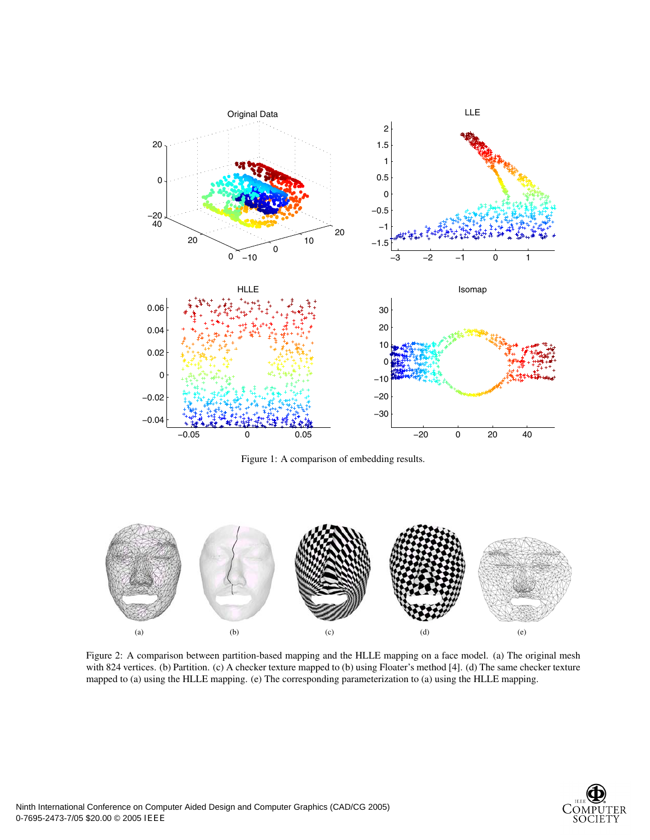

Figure 1: A comparison of embedding results.



Figure 2: A comparison between partition-based mapping and the HLLE mapping on a face model. (a) The original mesh with 824 vertices. (b) Partition. (c) A checker texture mapped to (b) using Floater's method [4]. (d) The same checker texture mapped to (a) using the HLLE mapping. (e) The corresponding parameterization to (a) using the HLLE mapping.